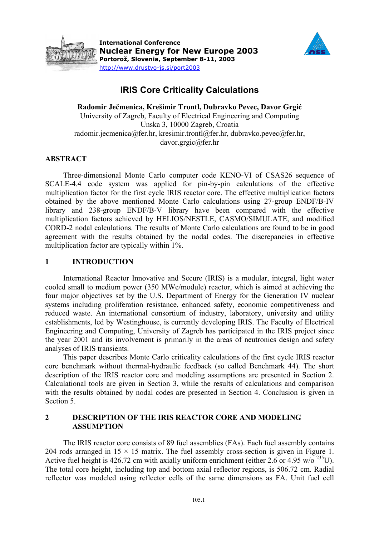



# **IRIS Core Criticality Calculations**

**Radomir Ječmenica, Krešimir Trontl, Dubravko Pevec, Davor Grgić** University of Zagreb, Faculty of Electrical Engineering and Computing Unska 3, 10000 Zagreb, Croatia radomir.jecmenica@fer.hr, kresimir.trontl@fer.hr, dubravko.pevec@fer.hr, davor.grgic@fer.hr

## **ABSTRACT**

Three-dimensional Monte Carlo computer code KENO-VI of CSAS26 sequence of SCALE-4.4 code system was applied for pin-by-pin calculations of the effective multiplication factor for the first cycle IRIS reactor core. The effective multiplication factors obtained by the above mentioned Monte Carlo calculations using 27-group ENDF/B-IV library and 238-group ENDF/B-V library have been compared with the effective multiplication factors achieved by HELIOS/NESTLE, CASMO/SIMULATE, and modified CORD-2 nodal calculations. The results of Monte Carlo calculations are found to be in good agreement with the results obtained by the nodal codes. The discrepancies in effective multiplication factor are typically within 1%.

## **1 INTRODUCTION**

International Reactor Innovative and Secure (IRIS) is a modular, integral, light water cooled small to medium power (350 MWe/module) reactor, which is aimed at achieving the four major objectives set by the U.S. Department of Energy for the Generation IV nuclear systems including proliferation resistance, enhanced safety, economic competitiveness and reduced waste. An international consortium of industry, laboratory, university and utility establishments, led by Westinghouse, is currently developing IRIS. The Faculty of Electrical Engineering and Computing, University of Zagreb has participated in the IRIS project since the year 2001 and its involvement is primarily in the areas of neutronics design and safety analyses of IRIS transients.

This paper describes Monte Carlo criticality calculations of the first cycle IRIS reactor core benchmark without thermal-hydraulic feedback (so called Benchmark 44). The short description of the IRIS reactor core and modeling assumptions are presented in Section 2. Calculational tools are given in Section 3, while the results of calculations and comparison with the results obtained by nodal codes are presented in Section 4. Conclusion is given in Section 5.

## **2 DESCRIPTION OF THE IRIS REACTOR CORE AND MODELING ASSUMPTION**

The IRIS reactor core consists of 89 fuel assemblies (FAs). Each fuel assembly contains 204 rods arranged in  $15 \times 15$  matrix. The fuel assembly cross-section is given in Figure 1. Active fuel height is 426.72 cm with axially uniform enrichment (either 2.6 or 4.95 w/o  $^{235}$ U). The total core height, including top and bottom axial reflector regions, is 506.72 cm. Radial reflector was modeled using reflector cells of the same dimensions as FA. Unit fuel cell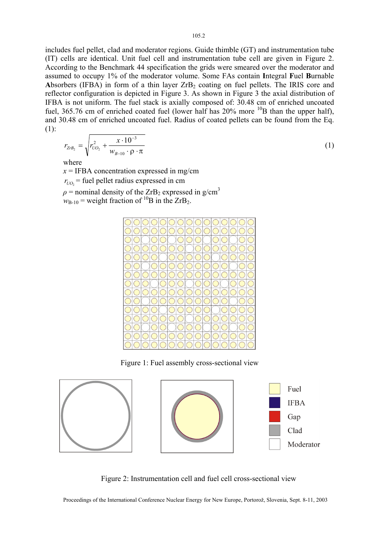includes fuel pellet, clad and moderator regions. Guide thimble (GT) and instrumentation tube (IT) cells are identical. Unit fuel cell and instrumentation tube cell are given in Figure 2. According to the Benchmark 44 specification the grids were smeared over the moderator and assumed to occupy 1% of the moderator volume. Some FAs contain **I**ntegral **F**uel **B**urnable Absorbers (IFBA) in form of a thin layer  $ZrB_2$  coating on fuel pellets. The IRIS core and reflector configuration is depicted in Figure 3. As shown in Figure 3 the axial distribution of IFBA is not uniform. The fuel stack is axially composed of: 30.48 cm of enriched uncoated fuel, 365.76 cm of enriched coated fuel (lower half has  $20\%$  more  $^{10}B$  than the upper half), and 30.48 cm of enriched uncoated fuel. Radius of coated pellets can be found from the Eq. (1):

$$
r_{ZrB_2} = \sqrt{r_{UO_2}^2 + \frac{x \cdot 10^{-3}}{w_{B-10} \cdot \rho \cdot \pi}}
$$
 (1)

$$
(1)
$$

where

 $x =$  IFBA concentration expressed in mg/cm  $r_{UQ}$  = fuel pellet radius expressed in cm  $\rho$  = nominal density of the ZrB<sub>2</sub> expressed in g/cm<sup>3</sup>  $w_{\text{B-10}}$  = weight fraction of <sup>10</sup>B in the ZrB<sub>2</sub>.



Figure 1: Fuel assembly cross-sectional view



Figure 2: Instrumentation cell and fuel cell cross-sectional view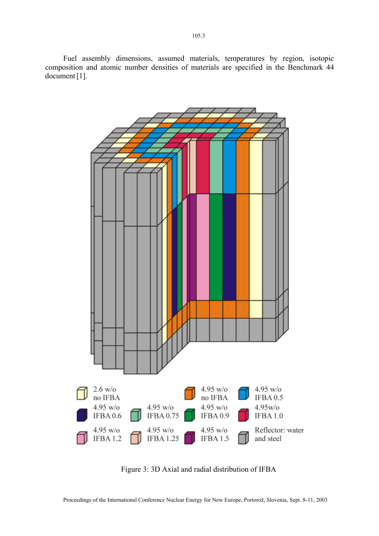Fuel assembly dimensions, assumed materials, temperatures by region, isotopic composition and atomic number densities of materials are specified in the Benchmark 44 document [1].



Figure 3: 3D Axial and radial distribution of IFBA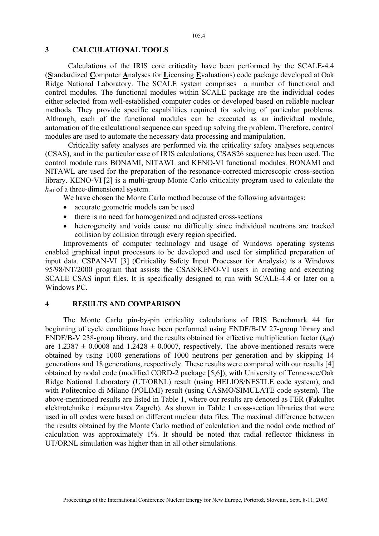#### **3 CALCULATIONAL TOOLS**

Calculations of the IRIS core criticality have been performed by the SCALE-4.4 (**S**tandardized **C**omputer **A**nalyses for **L**icensing **E**valuations) code package developed at Oak Ridge National Laboratory. The SCALE system comprises a number of functional and control modules. The functional modules within SCALE package are the individual codes either selected from well-established computer codes or developed based on reliable nuclear methods. They provide specific capabilities required for solving of particular problems. Although, each of the functional modules can be executed as an individual module, automation of the calculational sequence can speed up solving the problem. Therefore, control modules are used to automate the necessary data processing and manipulation.

Criticality safety analyses are performed via the criticality safety analyses sequences (CSAS), and in the particular case of IRIS calculations, CSAS26 sequence has been used. The control module runs BONAMI, NITAWL and KENO-VI functional modules. BONAMI and NITAWL are used for the preparation of the resonance-corrected microscopic cross-section library. KENO-VI [2] is a multi-group Monte Carlo criticality program used to calculate the *k*eff of a three-dimensional system.

We have chosen the Monte Carlo method because of the following advantages:

- accurate geometric models can be used
- there is no need for homogenized and adjusted cross-sections
- heterogeneity and voids cause no difficulty since individual neutrons are tracked collision by collision through every region specified.

Improvements of computer technology and usage of Windows operating systems enabled graphical input processors to be developed and used for simplified preparation of input data. CSPAN-VI [3] (**C**riticality **S**afety **I**nput **P**rocessor for **A**nalysis) is a Windows 95/98/NT/2000 program that assists the CSAS/KENO-VI users in creating and executing SCALE CSAS input files. It is specifically designed to run with SCALE-4.4 or later on a Windows PC.

#### **4 RESULTS AND COMPARISON**

The Monte Carlo pin-by-pin criticality calculations of IRIS Benchmark 44 for beginning of cycle conditions have been performed using ENDF/B-IV 27-group library and ENDF/B-V 238-group library, and the results obtained for effective multiplication factor  $(k_{\text{eff}})$ are  $1.2387 \pm 0.0008$  and  $1.2428 \pm 0.0007$ , respectively. The above-mentioned results were obtained by using 1000 generations of 1000 neutrons per generation and by skipping 14 generations and 18 generations, respectively. These results were compared with our results [4] obtained by nodal code (modified CORD-2 package [5,6]), with University of Tennessee/Oak Ridge National Laboratory (UT/ORNL) result (using HELIOS/NESTLE code system), and with Politecnico di Milano (POLIMI) result (using CASMO/SIMULATE code system). The above-mentioned results are listed in Table 1, where our results are denoted as FER (**F**akultet **e**lektrotehnike i **r**ačunarstva Zagreb). As shown in Table 1 cross-section libraries that were used in all codes were based on different nuclear data files. The maximal difference between the results obtained by the Monte Carlo method of calculation and the nodal code method of calculation was approximately 1%. It should be noted that radial reflector thickness in UT/ORNL simulation was higher than in all other simulations.